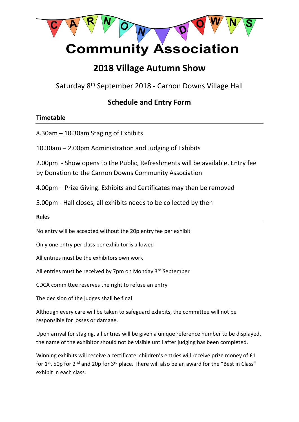

# **Community Association**

# **2018 Village Autumn Show**

Saturday 8th September 2018 - Carnon Downs Village Hall

## **Schedule and Entry Form**

#### **Timetable**

8.30am – 10.30am Staging of Exhibits

10.30am – 2.00pm Administration and Judging of Exhibits

2.00pm - Show opens to the Public, Refreshments will be available, Entry fee by Donation to the Carnon Downs Community Association

4.00pm – Prize Giving. Exhibits and Certificates may then be removed

5.00pm - Hall closes, all exhibits needs to be collected by then

#### **Rules**

No entry will be accepted without the 20p entry fee per exhibit

Only one entry per class per exhibitor is allowed

All entries must be the exhibitors own work

All entries must be received by 7pm on Monday  $3^{rd}$  September

CDCA committee reserves the right to refuse an entry

The decision of the judges shall be final

Although every care will be taken to safeguard exhibits, the committee will not be responsible for losses or damage.

Upon arrival for staging, all entries will be given a unique reference number to be displayed, the name of the exhibitor should not be visible until after judging has been completed.

Winning exhibits will receive a certificate; children's entries will receive prize money of £1 for 1<sup>st</sup>, 50p for 2<sup>nd</sup> and 20p for 3<sup>rd</sup> place. There will also be an award for the "Best in Class" exhibit in each class.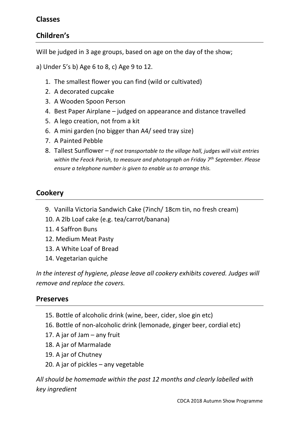## **Classes**

## **Children's**

Will be judged in 3 age groups, based on age on the day of the show;

a) Under 5's b) Age 6 to 8, c) Age 9 to 12.

- 1. The smallest flower you can find (wild or cultivated)
- 2. A decorated cupcake
- 3. A Wooden Spoon Person
- 4. Best Paper Airplane judged on appearance and distance travelled
- 5. A lego creation, not from a kit
- 6. A mini garden (no bigger than A4/ seed tray size)
- 7. A Painted Pebble
- 8. Tallest Sunflower *if not transportable to the village hall, judges will visit entries within the Feock Parish, to measure and photograph on Friday 7th September. Please ensure a telephone number is given to enable us to arrange this.*

## **Cookery**

- 9. Vanilla Victoria Sandwich Cake (7inch/ 18cm tin, no fresh cream)
- 10. A 2lb Loaf cake (e.g. tea/carrot/banana)
- 11. 4 Saffron Buns
- 12. Medium Meat Pasty
- 13. A White Loaf of Bread
- 14. Vegetarian quiche

*In the interest of hygiene, please leave all cookery exhibits covered. Judges will remove and replace the covers.*

### **Preserves**

- 15. Bottle of alcoholic drink (wine, beer, cider, sloe gin etc)
- 16. Bottle of non-alcoholic drink (lemonade, ginger beer, cordial etc)
- 17. A jar of Jam any fruit
- 18. A jar of Marmalade
- 19. A jar of Chutney
- 20. A jar of pickles any vegetable

*All should be homemade within the past 12 months and clearly labelled with key ingredient*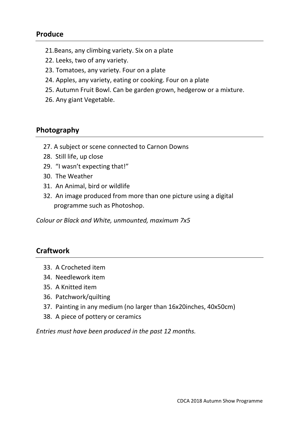#### **Produce**

- 21.Beans, any climbing variety. Six on a plate
- 22. Leeks, two of any variety.
- 23. Tomatoes, any variety. Four on a plate
- 24. Apples, any variety, eating or cooking. Four on a plate
- 25. Autumn Fruit Bowl. Can be garden grown, hedgerow or a mixture.
- 26. Any giant Vegetable.

#### **Photography**

- 27. A subject or scene connected to Carnon Downs
- 28. Still life, up close
- 29. "I wasn't expecting that!"
- 30. The Weather
- 31. An Animal, bird or wildlife
- 32. An image produced from more than one picture using a digital programme such as Photoshop.

*Colour or Black and White, unmounted, maximum 7x5*

#### **Craftwork**

- 33. A Crocheted item
- 34. Needlework item
- 35. A Knitted item
- 36. Patchwork/quilting
- 37. Painting in any medium (no larger than 16x20inches, 40x50cm)
- 38. A piece of pottery or ceramics

*Entries must have been produced in the past 12 months.*